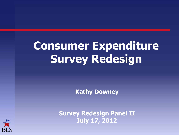### **Consumer Expenditure Survey Redesign**

**Kathy Downey**

**Survey Redesign Panel II July 17, 2012**

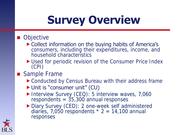### **Survey Overview**

#### ■ Objective

- ▶ Collect information on the buying habits of America's consumers, including their expenditures, income, and household characteristics
- ▶ Used for periodic revision of the Consumer Price Index (CPI)
- Sample Frame
	- ▶ Conducted by Census Bureau with their address frame
	- ▶ Unit is "consumer unit" (CU)
	- ▶ Interview Survey (CEQ): 5 interview waves, 7,060 respondents =  $35,300$  annual responses
	- ▶ Diary Survey (CED): 2 one-week self administered diaries, 7,050 respondents  $* 2 = 14,100$  annual responses

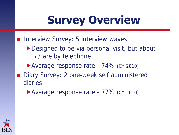### **Survey Overview**

#### Interview Survey: 5 interview waves

- Designed to be via personal visit, but about 1/3 are by telephone
- Average response rate 74% (CY 2010)
- Diary Survey: 2 one-week self administered diaries
	- Average response rate 77% (CY 2010)

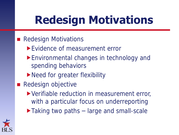## **Redesign Motivations**

#### Redesign Motivations

- Evidence of measurement error
- Environmental changes in technology and spending behaviors
- Need for greater flexibility
- Redesign objective
	- Verifiable reduction in measurement error, with a particular focus on underreporting
	- ▶ Taking two paths large and small-scale

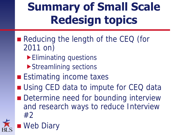### **Summary of Small Scale Redesign topics**

- Reducing the length of the CEQ (for 2011 on)
	- **Eliminating questions**
	- Streamlining sections
- **Estimating income taxes**
- Using CED data to impute for CEQ data
- **Determine need for bounding interview** and research ways to reduce Interview #2

■ Web Diary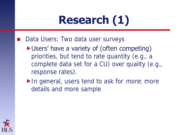# **Research (1)**

#### Data Users: Two data user surveys

- Users' have a variety of (often competing) priorities, but tend to rate quantity (e.g., a complete data set for a CU) over quality (e.g., response rates).
- In general, users tend to ask for *more*; more details and more sample

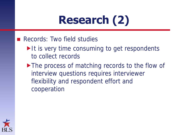# **Research (2)**

#### Records: Two field studies

- $\blacktriangleright$  It is very time consuming to get respondents to collect records
- The process of matching records to the flow of interview questions requires interviewer flexibility and respondent effort and cooperation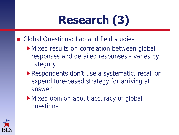# **Research (3)**

- Global Questions: Lab and field studies
	- Mixed results on correlation between global responses and detailed responses - varies by category
	- **Respondents don't use a systematic, recall or** expenditure-based strategy for arriving at answer
	- Mixed opinion about accuracy of global questions

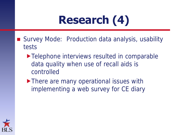## **Research (4)**

- Survey Mode: Production data analysis, usability tests
	- ▶ Telephone interviews resulted in comparable data quality when use of recall aids is controlled
	- There are many operational issues with implementing a web survey for CE diary

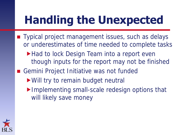### **Handling the Unexpected**

- Typical project management issues, such as delays or underestimates of time needed to complete tasks
	- ▶Had to lock Design Team into a report even though inputs for the report may not be finished
- Gemini Project Initiative was not funded
	- Will try to remain budget neutral
	- Implementing small-scale redesign options that will likely save money

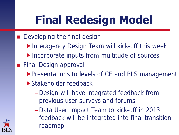## **Final Redesign Model**

- **Developing the final design** 
	- Interagency Design Team will kick-off this week
	- Incorporate inputs from multitude of sources
- **Final Design approval** 
	- **Presentations to levels of CE and BLS management**
	- ▶ Stakeholder feedback
		- Design will have integrated feedback from previous user surveys and forums
		- Data User Impact Team to kick-off in 2013 feedback will be integrated into final transition roadmap

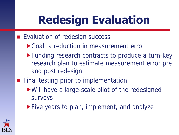### **Redesign Evaluation**

- **Exaluation of redesign success** 
	- Goal: a reduction in measurement error
	- ▶ Funding research contracts to produce a turn-key research plan to estimate measurement error pre and post redesign
- Final testing prior to implementation
	- Will have a large-scale pilot of the redesigned surveys
	- Five years to plan, implement, and analyze

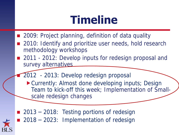### **Timeline**

- 2009: Project planning, definition of data quality
- 2010: Identify and prioritize user needs, hold research methodology workshops
- 2011 2012: Develop inputs for redesign proposal and survey alternatives

2012 - 2013: Develop redesign proposal

Currently: Almost done developing inputs; Design Team to kick-off this week; Implementation of Smallscale redesign changes

■ 2013 – 2018: Testing portions of redesign ■ 2018 – 2023: Implementation of redesign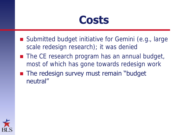

- Submitted budget initiative for Gemini (e.g., large scale redesign research); it was denied
- **The CE research program has an annual budget,** most of which has gone towards redesign work
- **The redesign survey must remain "budget"** neutral"